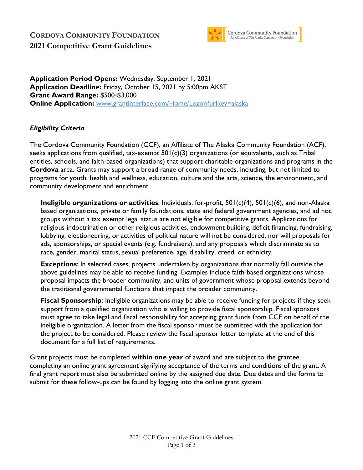## **CORDOVA COMMUNITY FOUNDATION 2021 Competitive Grant Guidelines**



Cordova Community Foundation<br>An Affiliate of The Alaska Community Foundation

**Application Period Opens:** Wednesday, September 1, 2021 **Application Deadline:** Friday, October 15, 2021 by 5:00pm AKST **Grant Award Range:** \$500-\$3,000 **Online Application:** www.grantinterface.com/Home/Logon?urlkey=alaska

#### *Eligibility Criteria*

The Cordova Community Foundation (CCF), an Affiliate of The Alaska Community Foundation (ACF), seeks applications from qualified, tax-exempt  $501(c)(3)$  organizations (or equivalents, such as Tribal entities, schools, and faith-based organizations) that support charitable organizations and programs in the **Cordova** area. Grants may support a broad range of community needs, including, but not limited to programs for youth, health and wellness, education, culture and the arts, science, the environment, and community development and enrichment.

**Ineligible organizations or activities**: Individuals, for-profit, 501(c)(4), 501(c)(6), and non-Alaska based organizations, private or family foundations, state and federal government agencies, and ad hoc groups without a tax exempt legal status are not eligible for competitive grants. Applications for religious indoctrination or other religious activities, endowment building, deficit financing, fundraising, lobbying, electioneering, or activities of political nature will not be considered, nor will proposals for ads, sponsorships, or special events (e.g. fundraisers), and any proposals which discriminate as to race, gender, marital status, sexual preference, age, disability, creed, or ethnicity.

**Exceptions**: In selected cases, projects undertaken by organizations that normally fall outside the above guidelines may be able to receive funding. Examples include faith-based organizations whose proposal impacts the broader community, and units of government whose proposal extends beyond the traditional governmental functions that impact the broader community.

**Fiscal Sponsorship**: Ineligible organizations may be able to receive funding for projects if they seek support from a qualified organization who is willing to provide fiscal sponsorship. Fiscal sponsors must agree to take legal and fiscal responsibility for accepting grant funds from CCF on behalf of the ineligible organization. A letter from the fiscal sponsor must be submitted with the application for the project to be considered. Please review the fiscal sponsor letter template at the end of this document for a full list of requirements.

Grant projects must be completed **within one year** of award and are subject to the grantee completing an online grant agreement signifying acceptance of the terms and conditions of the grant. A final grant report must also be submitted online by the assigned due date. Due dates and the forms to submit for these follow-ups can be found by logging into the online grant system.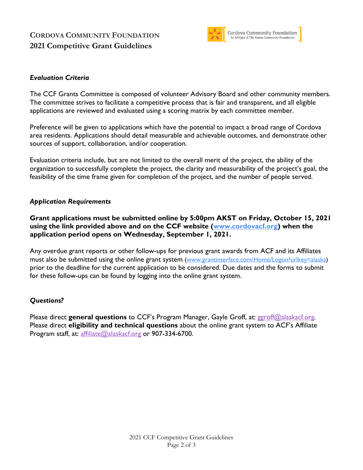# **CORDOVA COMMUNITY FOUNDATION 2021 Competitive Grant Guidelines**



### *Evaluation Criteria*

The CCF Grants Committee is composed of volunteer Advisory Board and other community members. The committee strives to facilitate a competitive process that is fair and transparent, and all eligible applications are reviewed and evaluated using a scoring matrix by each committee member.

Preference will be given to applications which have the potential to impact a broad range of Cordova area residents. Applications should detail measurable and achievable outcomes, and demonstrate other sources of support, collaboration, and/or cooperation.

Evaluation criteria include, but are not limited to the overall merit of the project, the ability of the organization to successfully complete the project, the clarity and measurability of the project's goal, the feasibility of the time frame given for completion of the project, and the number of people served.

#### *Application Requirements*

**Grant applications must be submitted online by 5:00pm AKST on Friday, October 15, 2021 using the link provided above and on the CCF website (www.cordovacf.org) when the application period opens on Wednesday, September 1, 2021.** 

Any overdue grant reports or other follow-ups for previous grant awards from ACF and its Affiliates must also be submitted using the online grant system (www.grantinterface.com/Home/Logon?urlkey=alaska) prior to the deadline for the current application to be considered. Due dates and the forms to submit for these follow-ups can be found by logging into the online grant system.

### *Questions?*

Please direct **general questions** to CCF's Program Manager, Gayle Groff, at: ggroff@alaskacf.org. Please direct **eligibility and technical questions** about the online grant system to ACF's Affiliate Program staff, at: affiliate@alaskacf.org or 907-334-6700.